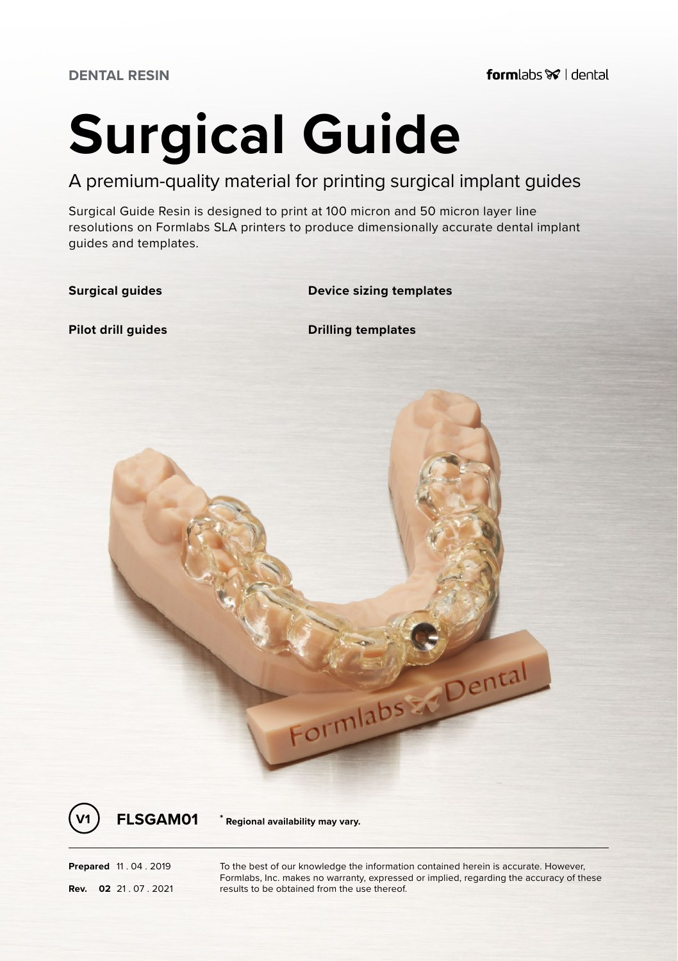# **Surgical Guide**

A premium-quality material for printing surgical implant guides

Surgical Guide Resin is designed to print at 100 micron and 50 micron layer line resolutions on Formlabs SLA printers to produce dimensionally accurate dental implant guides and templates.

**Surgical guides Device sizing templates**

**Pilot drill guides Drilling templates**





**V1 FLSGAM01 \* Regional availability may vary.**

**Prepared** 11 . 04 . 2019 To the best of our knowledge the information contained herein is accurate. However, Formlabs, Inc. makes no warranty, expressed or implied, regarding the accuracy of these **Rev.** 02 .21 .07 .2021 **results to be obtained from the use thereof.**